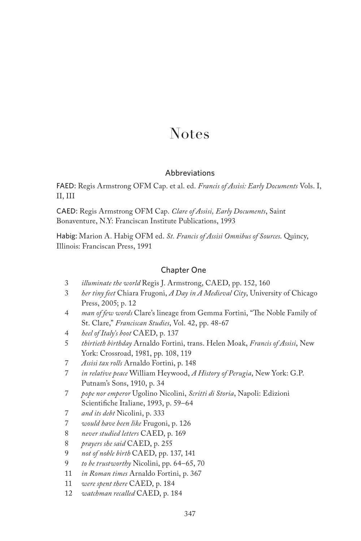# Notes

# Abbreviations

FAED: Regis Armstrong OFM Cap. et al. ed. *Francis of Assisi: Early Documents* Vols. I, II, III

CAED: Regis Armstrong OFM Cap. *Clare of Assisi, Early Documents*, Saint Bonaventure, N.Y: Franciscan Institute Publications, 1993

Habig: Marion A. Habig OFM ed. *St. Francis of Assisi Omnibus of Sources*. Quincy, Illinois: Franciscan Press, 1991

# Chapter One

- 3 *illuminate the world* Regis J. Armstrong, CAED, pp. 152, 160
- 3 *her tiny feet* Chiara Frugoni, *A Day in A Medieval City*, University of Chicago Press, 2005; p. 12
- 4 *man of few words* Clare's lineage from Gemma Fortini, "The Noble Family of St. Clare," *Franciscan Studies*, Vol. 42, pp. 48-67
- 4 *heel of Italy's boot* CAED, p. 137
- 5 *thirtieth birthday* Arnaldo Fortini, trans. Helen Moak, *Francis of Assisi*, New York: Crossroad, 1981, pp. 108, 119
- 7 *Assisi tax rolls* Arnaldo Fortini, p. 148
- 7 *in relative peace* William Heywood, *A History of Perugia*, New York: G.P. Putnam's Sons, 1910, p. 34
- 7 *pope nor emperor* Ugolino Nicolini, *Scritti di Storia*, Napoli: Edizioni Scientifiche Italiane, 1993, p. 59–64
- 7 *and its debt* Nicolini, p. 333
- 7 *would have been like* Frugoni, p. 126
- 8 *never studied letters* CAED, p. 169
- 8 *prayers she said* CAED, p. 255
- 9 *not of noble birth* CAED, pp. 137, 141
- 9 *to be trustworthy* Nicolini, pp. 64–65, 70
- 11 *in Roman times* Arnaldo Fortini, p. 367
- 11 *were spent there* CAED, p. 184
- 12 *watchman recalled* CAED, p. 184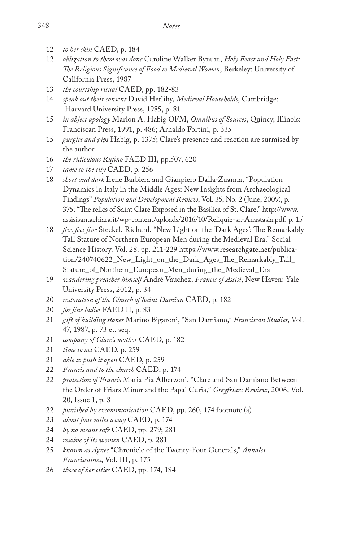- 12 *to her skin* CAED, p. 184
- 12 *obligation to them was done* Caroline Walker Bynum, *Holy Feast and Holy Fast: The Religious Significance of Food to Medieval Women*, Berkeley: University of California Press, 1987
- 13 *the courtship ritual* CAED, pp. 182-83
- 14 *speak out their consent* David Herlihy, *Medieval Households*, Cambridge: Harvard University Press, 1985, p. 81
- 15 *in abject apology* Marion A. Habig OFM, *Omnibus of Sources*, Quincy, Illinois: Franciscan Press, 1991, p. 486; Arnaldo Fortini, p. 335
- 15 *gurgles and pips* Habig, p. 1375; Clare's presence and reaction are surmised by the author
- 16 *the ridiculous Rufino* FAED III, pp.507, 620
- 17 *came to the city* CAED, p. 256
- 18 *short and dark* Irene Barbiera and Gianpiero Dalla-Zuanna, "Population Dynamics in Italy in the Middle Ages: New Insights from Archaeological Findings" *Population and Development Review*, Vol. 35, No. 2 (June, 2009), p. 375; "The relics of Saint Clare Exposed in the Basilica of St. Clare," http://www. assisisantachiara.it/wp-content/uploads/2016/10/Reliquie-sr.-Anastasia.pdf, p. 15
- 18 *five feet five* Steckel, Richard, "New Light on the 'Dark Ages': The Remarkably Tall Stature of Northern European Men during the Medieval Era." Social Science History. Vol. 28. pp. 211-229 https://www.researchgate.net/publication/240740622\_New\_Light\_on\_the\_Dark\_Ages\_The\_Remarkably\_Tall\_ Stature\_of\_Northern\_European\_Men\_during\_the\_Medieval\_Era
- 19 *wandering preacher himself* André Vauchez, *Francis of Assisi*, New Haven: Yale University Press, 2012, p. 34
- 20 *restoration of the Church of Saint Damian* CAED, p. 182
- 20 *for fine ladies* FAED II, p. 83
- 21 *gift of building stones* Marino Bigaroni, "San Damiano," *Franciscan Studies*, Vol. 47, 1987, p. 73 et. seq.
- 21 *company of Clare's mother* CAED, p. 182
- 21 *time to act* CAED, p. 259
- 21 *able to push it open* CAED, p. 259
- 22 *Francis and to the church* CAED, p. 174
- 22 *protection of Francis* Maria Pia Alberzoni, "Clare and San Damiano Between the Order of Friars Minor and the Papal Curia," *Greyfriars Review*, 2006, Vol. 20, Issue 1, p. 3
- 22 *punished by excommunication* CAED, pp. 260, 174 footnote (a)
- 23 *about four miles away* CAED, p. 174
- 24 *by no means safe* CAED, pp. 279; 281
- 24 *resolve of its women* CAED, p. 281
- 25 *known as Agnes* "Chronicle of the Twenty-Four Generals," *Annales Franciscaines*, Vol. III, p. 175
- 26 *those of her cities* CAED, pp. 174, 184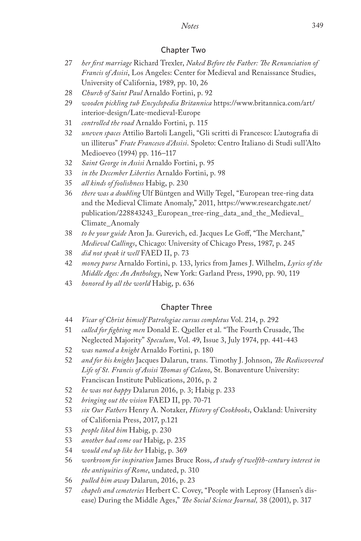# Chapter Two

- 27 *her first marriage* Richard Trexler, *Naked Before the Father: The Renunciation of Francis of Assisi*, Los Angeles: Center for Medieval and Renaissance Studies, University of California, 1989, pp. 10, 26
- 28 *Church of Saint Paul* Arnaldo Fortini, p. 92
- 29 *wooden pickling tub Encyclopedia Britannica* https://www.britannica.com/art/ interior-design/Late-medieval-Europe
- 31 *controlled the road* Arnaldo Fortini, p. 115
- 32 *uneven spaces* Attilio Bartoli Langeli, "Gli scritti di Francesco: L'autografia di un illiterus" *Frate Francesco d'Assisi*. Spoleto: Centro Italiano di Studi sull'Alto Medioeveo (1994) pp. 116–117
- 32 *Saint George in Assisi* Arnaldo Fortini, p. 95
- 33 *in the December Liberties* Arnaldo Fortini, p. 98
- 35 *all kinds of foolishness* Habig, p. 230
- 36 *there was a doubling* Ulf Büntgen and Willy Tegel, "European tree-ring data and the Medieval Climate Anomaly," 2011, https://www.researchgate.net/ publication/228843243\_European\_tree-ring\_data\_and\_the\_Medieval\_ Climate\_Anomaly
- 38 *to be your guide* Aron Ja. Gurevich, ed. Jacques Le Goff, "The Merchant," *Medieval Callings*, Chicago: University of Chicago Press, 1987, p. 245
- 38 *did not speak it well* FAED II, p. 73
- 42 *money purse* Arnaldo Fortini, p. 133, lyrics from James J. Wilhelm, *Lyrics of the Middle Ages: An Anthology*, New York: Garland Press, 1990, pp. 90, 119
- 43 *honored by all the world* Habig, p. 636

# Chapter Three

- 44 *Vicar of Christ himself Patrologiae cursus completus* Vol. 214, p. 292
- 51 *called for fighting men* Donald E. Queller et al. "The Fourth Crusade, The Neglected Majority" *Speculum*, Vol. 49, Issue 3, July 1974, pp. 441-443
- 52 *was named a knight* Arnaldo Fortini, p. 180
- 52 *and for his knights* Jacques Dalarun, trans. Timothy J. Johnson, *The Rediscovered Life of St. Francis of Assisi Thomas of Celano*, St. Bonaventure University: Franciscan Institute Publications, 2016, p. 2
- 52 *he was not happy* Dalarun 2016, p. 3; Habig p. 233
- 52 *bringing out the vision* FAED II, pp. 70-71
- 53 *six Our Fathers* Henry A. Notaker, *History of Cookbooks*, Oakland: University of California Press, 2017, p.121
- 53 *people liked him* Habig, p. 230
- 53 *another had come out* Habig, p. 235
- 54 *would end up like her* Habig, p. 369
- 56 *workroom for inspiration* James Bruce Ross, *A study of twelfth-century interest in the antiquities of Rome*, undated, p. 310
- 56 *pulled him away* Dalarun, 2016, p. 23
- 57 *chapels and cemeteries* Herbert C. Covey, "People with Leprosy (Hansen's disease) During the Middle Ages," *The Social Science Journal,* 38 (2001), p. 317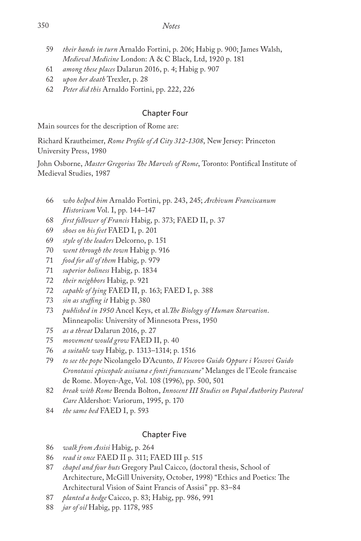- *their hands in turn* Arnaldo Fortini, p. 206; Habig p. 900; James Walsh, *Medieval Medicine* London: A & C Black, Ltd, 1920 p. 181
- *among these places* Dalarun 2016, p. 4; Habig p. 907
- *upon her death* Trexler, p. 28
- *Peter did this* Arnaldo Fortini, pp. 222, 226

# Chapter Four

Main sources for the description of Rome are:

Richard Krautheimer, *Rome Profile of A City 312-1308*, New Jersey: Princeton University Press, 1980

John Osborne, *Master Gregorius The Marvels of Rome*, Toronto: Pontifical Institute of Medieval Studies, 1987

- *who helped him* Arnaldo Fortini, pp. 243, 245; *Archivum Franciscanum Historicum* Vol. I, pp. 144–147
- *first follower of Francis* Habig, p. 373; FAED II, p. 37
- *shoes on his feet* FAED I, p. 201
- *style of the leaders* Delcorno, p. 151
- *went through the town* Habig p. 916
- *food for all of them* Habig, p. 979
- *superior holiness* Habig, p. 1834
- *their neighbors* Habig, p. 921
- *capable of lying* FAED II, p. 163; FAED I, p. 388
- *sin as stuffing it* Habig p. 380
- *published in 1950* Ancel Keys, et al.*The Biology of Human Starvation*. Minneapolis: University of Minnesota Press, 1950
- *as a threat* Dalarun 2016, p. 27
- *movement would grow* FAED II, p. 40
- *a suitable way* Habig, p. 1313–1314; p. 1516
- *to see the pope* Nicolangelo D'Acunto*, Il Vescovo Guido Oppure i Vescovi Guido Cronotassi episcopale assisana e fonti francescane"* Melanges de l'Ecole francaise de Rome. Moyen-Age, Vol. 108 (1996), pp. 500, 501
- *break with Rome* Brenda Bolton, *Innocent III Studies on Papal Authority Pastoral Care* Aldershot: Variorum, 1995, p. 170
- *the same bed* FAED I, p. 593

# Chapter Five

- *walk from Assisi* Habig, p. 264
- *read it once* FAED II p. 311; FAED III p. 515
- *chapel and four huts* Gregory Paul Caicco, (doctoral thesis, School of Architecture, McGill University, October, 1998) "Ethics and Poetics: The Architectural Vision of Saint Francis of Assisi" pp. 83–84
- *planted a hedge* Caicco, p. 83; Habig, pp. 986, 991
- *jar of oil* Habig, pp. 1178, 985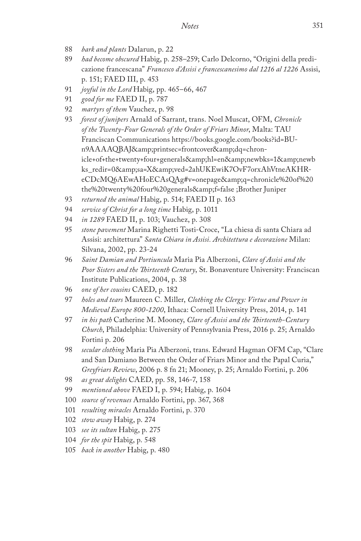- 88 *bark and plants* Dalarun, p. 22
- 89 *had become obscured* Habig, p. 258–259; Carlo Delcorno, "Origini della predicazione francescana" *Francesco d'Assisi e francescanesimo dal 1216 al 1226* Assisi, p. 151; FAED III, p. 453
- 91 *joyful in the Lord* Habig, pp. 465–66, 467
- 91 *good for me* FAED II, p. 787
- 92 *martyrs of them* Vauchez, p. 98
- 93 *forest of junipers* Arnald of Sarrant, trans. Noel Muscat, OFM, *Chronicle of the Twenty-Four Generals of the Order of Friars Minor*, Malta: TAU Franciscan Communications https://books.google.com/books?id=BUn9AAAAQBAJ&printsec=frontcover&dq=chronicle+of+the+twenty+four+generals&hl=en&newbks=1&newb ks\_redir=0&sa=X&ved=2ahUKEwiK7OvF7orxAhVtneAKHReCDcMQ6AEwAHoECAsQAg#v=onepage&q=chronicle%20of%20 the%20twenty%20four%20generals&f=false ;Brother Juniper
- 93 *returned the animal* Habig, p. 514; FAED II p. 163
- 94 *service of Christ for a long time* Habig, p. 1011
- 94 *in 1289* FAED II, p. 103; Vauchez, p. 308
- 95 *stone pavement* Marina Righetti Tosti-Croce, "La chiesa di santa Chiara ad Assisi: architettura" *Santa Chiara in Assisi. Architettura e decorazione* Milan: Silvana, 2002, pp. 23-24
- 96 *Saint Damian and Portiuncula* Maria Pia Alberzoni, *Clare of Assisi and the Poor Sisters and the Thirteenth Century*, St. Bonaventure University: Franciscan Institute Publications, 2004, p. 38
- 96 *one of her cousins* CAED, p. 182
- 97 *holes and tears* Maureen C. Miller, *Clothing the Clergy: Virtue and Power in Medieval Europe 800-1200*, Ithaca: Cornell University Press, 2014, p. 141
- 97 *in his path* Catherine M. Mooney, *Clare of Assisi and the Thirteenth-Century Church*, Philadelphia: University of Pennsylvania Press, 2016 p. 25; Arnaldo Fortini p. 206
- 98 *secular clothing* Maria Pia Alberzoni, trans. Edward Hagman OFM Cap, "Clare and San Damiano Between the Order of Friars Minor and the Papal Curia," *Greyfriars Review*, 2006 p. 8 fn 21; Mooney, p. 25; Arnaldo Fortini, p. 206
- 98 *as great delights* CAED, pp. 58, 146-7, 158
- 99 *mentioned above* FAED I, p. 594; Habig, p. 1604
- 100 *source of revenues* Arnaldo Fortini, pp. 367, 368
- 101 *resulting miracles* Arnaldo Fortini, p. 370
- 102 *stow away* Habig, p. 274
- 103 *see its sultan* Habig, p. 275
- 104 *for the spit* Habig, p. 548
- 105 *back in another* Habig, p. 480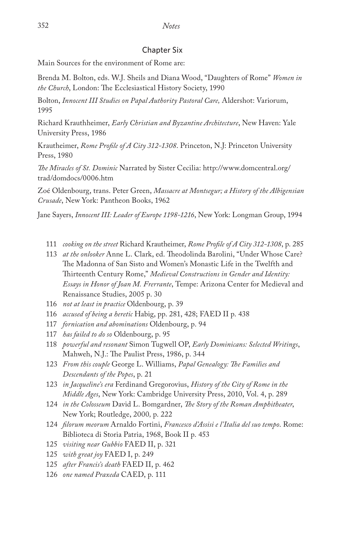## Chapter Six

Main Sources for the environment of Rome are:

Brenda M. Bolton, eds. W.J. Sheils and Diana Wood, "Daughters of Rome" *Women in the Church*, London: The Ecclesiastical History Society, 1990

Bolton, *Innocent III Studies on Papal Authority Pastoral Care,* Aldershot: Variorum, 1995

Richard Krauthheimer, *Early Christian and Byzantine Architecture*, New Haven: Yale University Press, 1986

Krautheimer, *Rome Profile of A City 312-1308*. Princeton, N.J: Princeton University Press, 1980

*The Miracles of St. Dominic* Narrated by Sister Cecilia: http://www.domcentral.org/ trad/domdocs/0006.htm

Zoé Oldenbourg, trans. Peter Green, *Massacre at Montsegur; a History of the Albigensian Crusade*, New York: Pantheon Books, 1962

Jane Sayers, *Innocent III: Leader of Europe 1198-1216*, New York: Longman Group, 1994

- 111 *cooking on the street* Richard Krautheimer, *Rome Profile of A City 312-1308*, p. 285
- 113 *at the onlooker* Anne L. Clark, ed. Theodolinda Barolini, "Under Whose Care? The Madonna of San Sisto and Women's Monastic Life in the Twelfth and Thirteenth Century Rome," *Medieval Constructions in Gender and Identity: Essays in Honor of Joan M. Frerrante*, Tempe: Arizona Center for Medieval and Renaissance Studies, 2005 p. 30
- 116 *not at least in practice* Oldenbourg, p. 39
- 116 *accused of being a heretic* Habig, pp. 281, 428; FAED II p. 438
- 117 *fornication and abominations* Oldenbourg, p. 94
- 117 *has failed to do so* Oldenbourg, p. 95
- 118 *powerful and resonant* Simon Tugwell OP, *Early Dominicans: Selected Writings*, Mahweh, N.J.: The Paulist Press, 1986, p. 344
- 123 *From this couple* George L. Williams, *Papal Genealogy: The Families and Descendants of the Popes*, p. 21
- 123 *in Jacqueline's era* Ferdinand Gregorovius, *History of the City of Rome in the Middle Ages*, New York: Cambridge University Press, 2010, Vol. 4, p. 289
- 124 *in the Colosseum* David L. Bomgardner, *The Story of the Roman Amphitheater*, New York; Routledge, 2000*,* p. 222
- 124 *filorum meorum* Arnaldo Fortini, *Francesco d'Assisi e l'Italia del suo tempo*. Rome: Biblioteca di Storia Patria, 1968, Book II p. 453
- 125 *visiting near Gubbio* FAED II, p. 321
- 125 *with great joy* FAED I, p. 249
- 125 *after Francis's death* FAED II, p. 462
- 126 *one named Praxeda* CAED, p. 111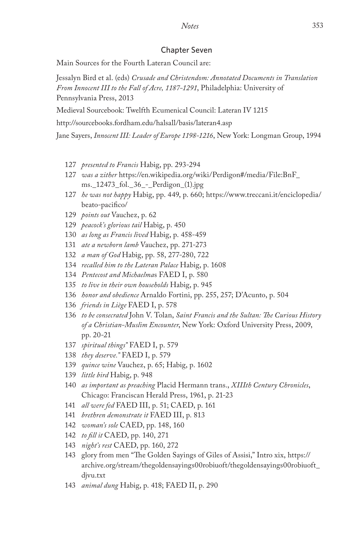# *Notes* 353

#### Chapter Seven

Main Sources for the Fourth Lateran Council are:

Jessalyn Bird et al. (eds) *Crusade and Christendom: Annotated Documents in Translation From Innocent III to the Fall of Acre, 1187-1291*, Philadelphia: University of Pennsylvania Press, 2013

Medieval Sourcebook: Twelfth Ecumenical Council: Lateran IV 1215

http://sourcebooks.fordham.edu/halsall/basis/lateran4.asp

Jane Sayers, *Innocent III: Leader of Europe 1198-1216*, New York: Longman Group, 1994

- 127 *presented to Francis* Habig, pp. 293-294
- 127 *was a zither* https://en.wikipedia.org/wiki/Perdigon#/media/File:BnF\_ ms.\_12473\_fol.\_36\_-\_Perdigon\_(1).jpg
- 127 *he was not happy* Habig, pp. 449, p. 660; https://www.treccani.it/enciclopedia/ beato-pacifico/
- 129 *points out* Vauchez, p. 62
- 129 *peacock's glorious tail* Habig, p. 450
- 130 *as long as Francis lived* Habig, p. 458-459
- 131 *ate a newborn lamb* Vauchez, pp. 271-273
- 132 *a man of God* Habig, pp. 58, 277-280, 722
- 134 *recalled him to the Lateran Palace* Habig, p. 1608
- 134 *Pentecost and Michaelma*s FAED I, p. 580
- 135 *to live in their own households* Habig, p. 945
- 136 *honor and obedience* Arnaldo Fortini, pp. 255, 257; D'Acunto, p. 504
- 136 *friends in Liège* FAED I, p. 578
- 136 *to be consecrated* John V. Tolan, *Saint Francis and the Sultan: The Curious History of a Christian-Muslim Encounter*, New York: Oxford University Press, 2009, pp. 20-21
- 137 *spiritual things"* FAED I, p. 579
- 138 *they deserve."* FAED I, p. 579
- 139 *quince wine* Vauchez, p. 65; Habig, p. 1602
- 139 *little bird* Habig, p. 948
- 140 *as important as preaching* Placid Hermann trans., *XIIIth Century Chronicles*, Chicago: Franciscan Herald Press, 1961, p. 21-23
- 141 *all were fed* FAED III, p. 51; CAED, p. 161
- 141 *brethren demonstrate it* FAED III, p. 813
- 142 *woman's sole* CAED, pp. 148, 160
- 142 *to fill it* CAED, pp. 140, 271
- 143 *night's rest* CAED, pp. 160, 272
- 143 glory from men "The Golden Sayings of Giles of Assisi," Intro xix, https:// archive.org/stream/thegoldensayings00robiuoft/thegoldensayings00robiuoft\_ djvu.txt
- 143 *animal dung* Habig, p. 418; FAED II, p. 290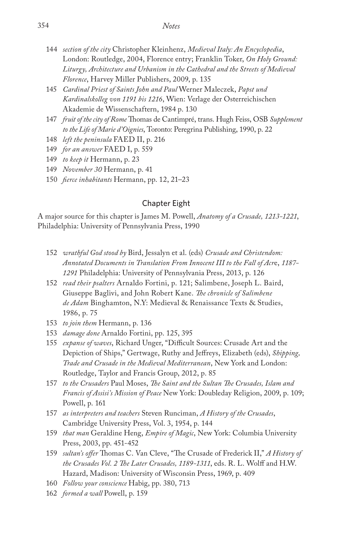- 144 *section of the city* Christopher Kleinhenz, *Medieval Italy: An Encyclopedia*, London: Routledge, 2004, Florence entry; Franklin Toker, *On Holy Ground: Liturgy, Architecture and Urbanism in the Cathedral and the Streets of Medieval Florence*, Harvey Miller Publishers, 2009, p. 135
- 145 *Cardinal Priest of Saints John and Paul* Werner Maleczek, *Papst und Kardinalskolleg von 1191 bis 1216*, Wien: Verlage der Osterreichischen Akademie de Wissenschaftern, 1984 p. 130
- 147 *fruit of the city of Rome* Thomas de Cantimpré, trans. Hugh Feiss, OSB *Supplement to the Life of Marie d'Oignies*, Toronto: Peregrina Publishing, 1990, p. 22
- 148 *left the peninsula* FAED II, p. 216
- 149 *for an answer* FAED I, p. 559
- 149 *to keep it* Hermann, p. 23
- 149 *November 30* Hermann, p. 41
- 150 *fierce inhabitants* Hermann, pp. 12, 21–23

# Chapter Eight

A major source for this chapter is James M. Powell, *Anatomy of a Crusade, 1213-1221*, Philadelphia: University of Pennsylvania Press, 1990

- 152 *wrathful God stood by* Bird, Jessalyn et al. (eds) *Crusade and Christendom: Annotated Documents in Translation From Innocent III to the Fall of Acr*e, *1187- 1291* Philadelphia: University of Pennsylvania Press, 2013, p. 126
- 152 *read their psalters* Arnaldo Fortini, p. 121; Salimbene, Joseph L. Baird, Giuseppe Baglivi, and John Robert Kane. *The chronicle of Salimbene de Adam* Binghamton, N.Y: Medieval & Renaissance Texts & Studies, 1986, p. 75
- 153 *to join them* Hermann, p. 136
- 153 *damage done* Arnaldo Fortini, pp. 125, 395
- 155 *expanse of waves*, Richard Unger, "Difficult Sources: Crusade Art and the Depiction of Ships," Gertwage, Ruthy and Jeffreys, Elizabeth (eds), *Shipping, Trade and Crusade in the Medieval Mediterranean*, New York and London: Routledge, Taylor and Francis Group, 2012, p. 85
- 157 *to the Crusaders* Paul Moses, *The Saint and the Sultan The Crusades, Islam and Francis of Assisi's Mission of Peace* New York: Doubleday Religion, 2009, p. 109; Powell, p. 161
- 157 *as interpreters and teachers* Steven Runciman, *A History of the Crusades*, Cambridge University Press, Vol. 3, 1954, p. 144
- 159 *that man* Geraldine Heng, *Empire of Magic*, New York: Columbia University Press, 2003, pp. 451-452
- 159 *sultan's offer* Thomas C. Van Cleve, "The Crusade of Frederick II," *A History of the Crusades Vol. 2 The Later Crusades, 1189-1311*, eds. R. L. Wolff and H.W. Hazard, Madison: University of Wisconsin Press, 1969, p. 409
- 160 *Follow your conscience* Habig, pp. 380, 713
- 162 *formed a wall* Powell, p. 159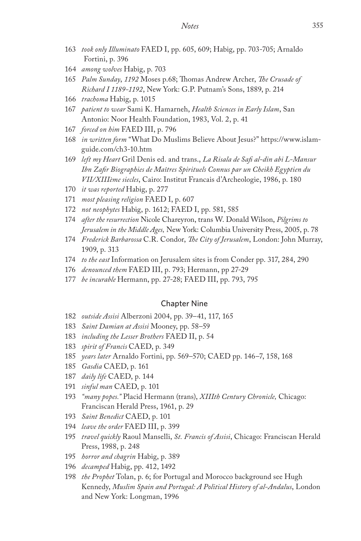- *took only Illuminato* FAED I, pp. 605, 609; Habig, pp. 703-705; Arnaldo Fortini, p. 396
- *among wolves* Habig, p. 703
- *Palm Sunday*, *1192* Moses p.68; Thomas Andrew Archer, *The Crusade of Richard I 1189-1192*, New York: G.P. Putnam's Sons, 1889, p. 214
- *trachoma* Habig, p. 1015
- *patient to wear* Sami K. Hamarneh, *Health Sciences in Early Islam*, San Antonio: Noor Health Foundation, 1983, Vol. 2, p. 41
- *forced on him* FAED III, p. 796
- *in written form* "What Do Muslims Believe About Jesus?" https://www.islamguide.com/ch3-10.htm
- *left my Heart* Gril Denis ed. and trans., *La Risala de Safi al-din abi L-Mansur Ibn Zafir Biographies de Maîtres Spirituels Connus par un Cheikh Egyptien du VII/XIIIème siecles*, Cairo: Institut Francais d'Archeologie, 1986, p. 180
- *it was reported* Habig, p. 277
- *most pleasing religion* FAED I, p. 607
- *not neophytes* Habig, p. 1612; FAED I, pp. 581, 585
- *after the resurrection* Nicole Chareyron, trans W. Donald Wilson, *Pilgrims to Jerusalem in the Middle Ages,* New York: Columbia University Press, 2005, p. 78
- *Frederick Barbarossa* C.R. Condor, *The City of Jerusalem*, London: John Murray, 1909, p. 313
- *to the east* Information on Jerusalem sites is from Conder pp. 317, 284, 290
- *denounced them* FAED III, p. 793; Hermann, pp 27-29
- *be incurable* Hermann, pp. 27-28; FAED III, pp. 793, 795

#### Chapter Nine

- *outside Assisi* Alberzoni 2004, pp. 39–41, 117, 165
- *Saint Damian at Assisi* Mooney, pp. 58–59
- *including the Lesser Brothers* FAED II, p. 54
- *spirit of Francis* CAED, p. 349
- *years later* Arnaldo Fortini, pp. 569–570; CAED pp. 146–7, 158, 168
- *Gasdia* CAED, p. 161
- *daily life* CAED, p. 144
- *sinful man* CAED, p. 101
- *"many popes."* Placid Hermann (trans), *XIIIth Century Chronicle,* Chicago: Franciscan Herald Press, 1961, p. 29
- *Saint Benedict* CAED, p. 101
- *leave the order* FAED III, p. 399
- *travel quickly* Raoul Manselli, *St. Francis of Assisi*, Chicago: Franciscan Herald Press, 1988, p. 248
- *horror and chagrin* Habig, p. 389
- *decamped* Habig, pp. 412, 1492
- *the Prophet* Tolan, p. 6; for Portugal and Morocco background see Hugh Kennedy, *Muslim Spain and Portugal: A Political History of al-Andalus*, London and New York: Longman, 1996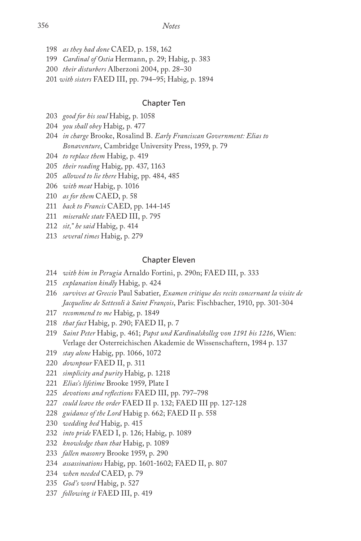- *as they had done* CAED, p. 158, 162
- *Cardinal of Ostia* Hermann, p. 29; Habig, p. 383
- *their disturbers* Alberzoni 2004, pp. 28–30
- *with sisters* FAED III, pp. 794–95; Habig, p. 1894

## Chapter Ten

- *good for his soul* Habig, p. 1058
- *you shall obey* Habig, p. 477
- *in charge* Brooke, Rosalind B. *Early Franciscan Government: Elias to Bonaventure*, Cambridge University Press, 1959, p. 79
- *to replace them* Habig, p. 419
- *their reading* Habig, pp. 437, 1163
- *allowed to lie there* Habig, pp. 484, 485
- *with meat* Habig, p. 1016
- *as for them* CAED, p. 58
- *back to Francis* CAED, pp. 144-145
- *miserable state* FAED III, p. 795
- *sit," he said* Habig, p. 414
- *several times* Habig, p. 279

#### Chapter Eleven

- *with him in Perugia* Arnaldo Fortini, p. 290n; FAED III, p. 333
- *explanation kindly* Habig, p. 424
- *survives at Greccio* Paul Sabatier, *Examen critique des recits concernant la visite de Jacqueline de Settesoli à Saint François*, Paris: Fischbacher, 1910, pp. 301-304
- *recommend to me* Habig, p. 1849
- *that fact* Habig, p. 290; FAED II, p. 7
- *Saint Peter* Habig, p. 461; *Papst und Kardinalskolleg von 1191 bis 1216*, Wien: Verlage der Osterreichischen Akademie de Wissenschaftern, 1984 p. 137
- *stay alone* Habig, pp. 1066, 1072
- *downpour* FAED II, p. 311
- *simplicity and purity* Habig, p. 1218
- *Elias's lifetime* Brooke 1959, Plate I
- *devotions and reflections* FAED III, pp. 797–798
- *could leave the order* FAED II p. 132; FAED III pp. 127-128
- *guidance of the Lord* Habig p. 662; FAED II p. 558
- *wedding bed* Habig, p. 415
- *into pride* FAED I, p. 126; Habig, p. 1089
- *knowledge than that* Habig, p. 1089
- *fallen masonry* Brooke 1959, p. 290
- *assassinations* Habig, pp. 1601-1602; FAED II, p. 807
- *when needed* CAED, p. 79
- *God's word* Habig, p. 527
- *following it* FAED III, p. 419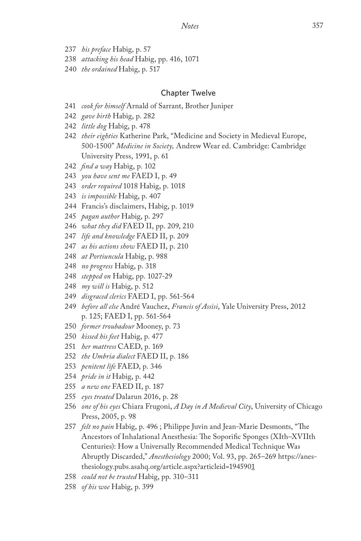- *his preface* Habig, p. 57
- *attacking his head* Habig, pp. 416, 1071
- *the ordained* Habig, p. 517

## Chapter Twelve

- *cook for himself* Arnald of Sarrant, Brother Juniper
- *gave birth* Habig, p. 282
- *little dog* Habig, p. 478
- *their eighties* Katherine Park, "Medicine and Society in Medieval Europe, 500-1500" *Medicine in Society,* Andrew Wear ed. Cambridge: Cambridge University Press, 1991, p. 61
- *find a way* Habig, p. 102
- *you have sent me* FAED I, p. 49
- *order required* 1018 Habig, p. 1018
- *is impossible* Habig, p. 407
- Francis's disclaimers, Habig, p. 1019
- *pagan author* Habig, p. 297
- *what they did* FAED II, pp. 209, 210
- *life and knowledge* FAED II, p. 209
- *as his actions show* FAED II, p. 210
- *at Portiuncula* Habig, p. 988
- *no progress* Habig, p. 318
- *stepped on* Habig, pp. 1027-29
- *my will is* Habig, p. 512
- *disgraced clerics* FAED I, pp. 561-564
- *before all else* André Vauchez, *Francis of Assisi*, Yale University Press, 2012 p. 125; FAED I, pp. 561-564
- *former troubadour* Mooney, p. 73
- *kissed his feet* Habig, p. 477
- *her mattress* CAED, p. 169
- *the Umbria dialect* FAED II, p. 186
- *penitent life* FAED, p. 346
- *pride in it* Habig, p. 442
- *a new one* FAED II, p. 187
- *eyes treated* Dalarun 2016, p. 28
- *one of his eyes* Chiara Frugoni, *A Day in A Medieval City*, University of Chicago Press, 2005, p. 98
- *felt no pain* Habig, p. 496 ; Philippe Juvin and Jean-Marie Desmonts, "The Ancestors of Inhalational Anesthesia: The Soporific Sponges (XIth–XVIIth Centuries): How a Universally Recommended Medical Technique Was Abruptly Discarded," *Anesthesiology* 2000; Vol. 93, pp. 265–269 https://anesthesiology.pubs.asahq.org/article.aspx?articleid=1945901
- *could not be trusted* Habig, pp. 310–311
- *of his woe* Habig, p. 399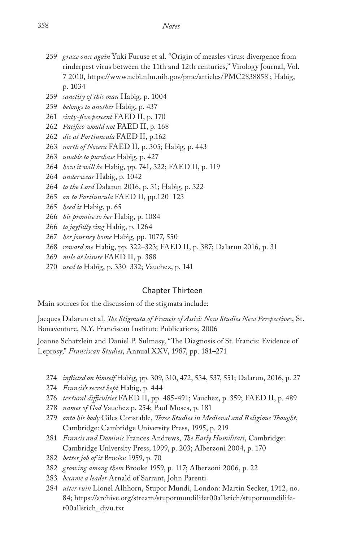- *graze once again* Yuki Furuse et al. "Origin of measles virus: divergence from rinderpest virus between the 11th and 12th centuries," Virology Journal, Vol. 7 2010, https://www.ncbi.nlm.nih.gov/pmc/articles/PMC2838858 ; Habig, p. 1034
- *sanctity of this man* Habig, p. 1004
- *belongs to another* Habig, p. 437
- *sixty-five percent* FAED II, p. 170
- *Pacifico would not* FAED II, p. 168
- *die at Portiuncula* FAED II, p.162
- *north of Nocera* FAED II, p. 305; Habig, p. 443
- *unable to purchase* Habig, p. 427
- *how it will be* Habig, pp. 741, 322; FAED II, p. 119
- *underwear* Habig, p. 1042
- *to the Lord* Dalarun 2016, p. 31; Habig, p. 322
- *on to Portiuncula* FAED II, pp.120–123
- *heed it* Habig, p. 65
- *his promise to her* Habig, p. 1084
- *to joyfully sing* Habig, p. 1264
- *her journey home* Habig, pp. 1077, 550
- *reward me* Habig, pp. 322–323; FAED II, p. 387; Dalarun 2016, p. 31
- *mile at leisure* FAED II, p. 388
- *used to* Habig, p. 330–332; Vauchez, p. 141

# Chapter Thirteen

Main sources for the discussion of the stigmata include:

Jacques Dalarun et al. *The Stigmata of Francis of Assisi: New Studies New Perspectives*, St. Bonaventure, N.Y. Franciscan Institute Publications, 2006

Joanne Schatzlein and Daniel P. Sulmasy, "The Diagnosis of St. Francis: Evidence of Leprosy," *Franciscan Studies*, Annual XXV, 1987, pp. 181–271

- *inflicted on himself* Habig, pp. 309, 310, 472, 534, 537, 551; Dalarun, 2016, p. 27
- *Francis's secret kept* Habig, p. 444
- *textural difficulties* FAED II, pp. 485-491; Vauchez, p. 359; FAED II, p. 489
- *names of God* Vauchez p. 254; Paul Moses, p. 181
- *onto his body* Giles Constable, *Three Studies in Medieval and Religious Thought*, Cambridge: Cambridge University Press, 1995, p. 219
- *Francis and Dominic* Frances Andrews, *The Early Humilitati*, Cambridge: Cambridge University Press, 1999, p. 203; Alberzoni 2004, p. 170
- *better job of it* Brooke 1959, p. 70
- *growing among them* Brooke 1959, p. 117; Alberzoni 2006, p. 22
- *became a leader* Arnald of Sarrant, John Parenti
- *utter ruin* Lionel Alhhorn, Stupor Mundi, London: Martin Secker, 1912, no. 84; https://archive.org/stream/stupormundilifet00allsrich/stupormundilifet00allsrich\_djvu.txt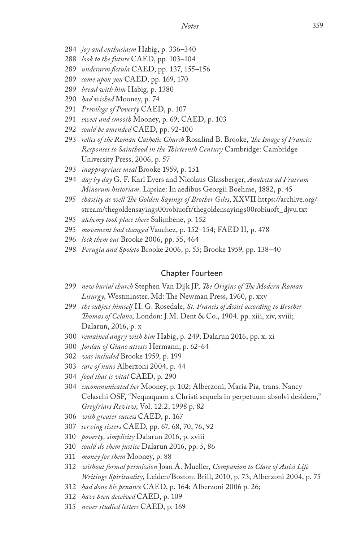- *joy and enthusiasm* Habig, p. 336–340
- *look to the future* CAED, pp. 103–104
- *underarm fistula* CAED, pp. 137, 155–156
- *come upon you* CAED, pp. 169, 170
- *bread with him* Habig, p. 1380
- *had wished* Mooney, p. 74
- *Privilege of Poverty* CAED, p. 107
- *sweet and smooth* Mooney, p. 69; CAED, p. 103
- *could be amended* CAED, pp. 92-100
- *relics of the Roman Catholic Church* Rosalind B. Brooke, *The Image of Francis: Responses to Sainthood in the Thirteenth Century* Cambridge: Cambridge University Press, 2006, p. 57
- *inappropriate meal* Brooke 1959, p. 151
- *day by day* G. F. Karl Evers and Nicolaus Glassberger, *Analecta ad Fratrum Minorum historiam*. Lipsiae: In aedibus Georgii Boehme, 1882, p. 45
- *chastity as well The Golden Sayings of Brother Giles*, XXVII https://archive.org/ stream/thegoldensayings00robiuoft/thegoldensayings00robiuoft\_djvu.txt
- *alchemy took place there* Salimbene, p. 152
- *movement had changed* Vauchez, p. 152–154; FAED II, p. 478
- *lock them out* Brooke 2006, pp. 55, 464
- *Perugia and Spoleto* Brooke 2006, p. 55; Brooke 1959, pp. 138–40

#### Chapter Fourteen

- *new burial church* Stephen Van Dijk JP, *The Origins of The Modern Roman Liturgy*, Westminster, Md: The Newman Press, 1960, p. xxv
- *the subject himself* H. G. Rosedale, *St. Francis of Assisi according to Brother Thomas of Celano*, London: J.M. Dent & Co., 1904. pp. xiii, xiv, xviii; Dalarun, 2016, p. x
- *remained angry with him* Habig, p. 249; Dalarun 2016, pp. x, xi
- *Jordan of Giano attests* Hermann, p. 62-64
- *was included* Brooke 1959, p. 199
- *care of nuns* Alberzoni 2004, p. 44
- *food that is vital* CAED, p. 290
- *excommunicated her* Mooney, p. 102; Alberzoni, Maria Pia, trans. Nancy Celaschi OSF, "Nequaquam a Christi sequela in perpetuum absolvi desidero," *Greyfriars Review*, Vol. 12.2, 1998 p. 82
- *with greater success* CAED, p. 167
- *serving sisters* CAED, pp. 67, 68, 70, 76, 92
- *poverty, simplicity* Dalarun 2016, p. xviii
- *could do them justice* Dalarun 2016, pp. 5, 86
- *money for them* Mooney, p. 88
- *without formal permission* Joan A. Mueller, *Companion to Clare of Assisi Life Writings Spirituality*, Leiden/Boston: Brill, 2010, p. 73; Alberzoni 2004, p. 75
- *had done his penance* CAED, p. 164: Alberzoni 2006 p. 26;
- *have been deceived* CAED, p. 109
- *never studied letters* CAED, p. 169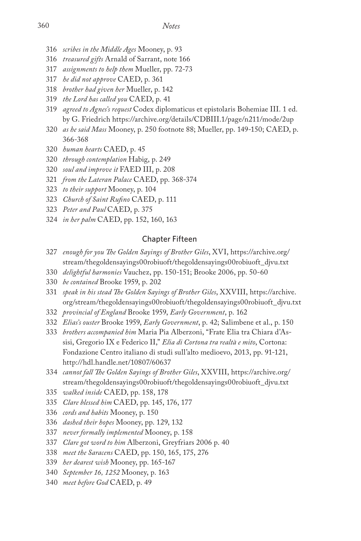- *scribes in the Middle Ages* Mooney, p. 93
- *treasured gifts* Arnald of Sarrant, note 166
- *assignments to help them* Mueller, pp. 72-73
- *he did not approve* CAED, p. 361
- *brother had given her* Mueller, p. 142
- *the Lord has called you* CAED, p. 41
- *agreed to Agnes's request* Codex diplomaticus et epistolaris Bohemiae III. 1 ed. by G. Friedrich https://archive.org/details/CDBIII.1/page/n211/mode/2up
- *as he said Mass* Mooney, p. 250 footnote 88; Mueller, pp. 149-150; CAED, p. 366-368
- *human hearts* CAED, p. 45
- *through contemplation* Habig, p. 249
- *soul and improve it* FAED III, p. 208
- *from the Lateran Palace* CAED, pp. 368-374
- *to their support* Mooney, p. 104
- *Church of Saint Rufino* CAED, p. 111
- *Peter and Paul* CAED, p. 375
- *in her palm* CAED, pp. 152, 160, 163

## Chapter Fifteen

- *enough for you The Golden Sayings of Brother Giles*, XVI, https://archive.org/ stream/thegoldensayings00robiuoft/thegoldensayings00robiuoft\_djvu.txt
- *delightful harmonies* Vauchez, pp. 150-151; Brooke 2006, pp. 50-60
- *be contained* Brooke 1959, p. 202
- *speak in his stead The Golden Sayings of Brother Giles*, XXVIII, https://archive. org/stream/thegoldensayings00robiuoft/thegoldensayings00robiuoft\_djvu.txt
- *provincial of England* Brooke 1959, *Early Government*, p. 162
- *Elias's ouster* Brooke 1959, *Early Government*, p. 42; Salimbene et al., p. 150
- *brothers accompanied him* Maria Pia Alberzoni, "Frate Elia tra Chiara d'Assisi, Gregorio IX e Federico II," *Elia di Cortona tra realtà e mito*, Cortona: Fondazione Centro italiano di studi sull'alto medioevo, 2013, pp. 91-121, http://hdl.handle.net/10807/60637
- *cannot fall The Golden Sayings of Brother Giles*, XXVIII, https://archive.org/ stream/thegoldensayings00robiuoft/thegoldensayings00robiuoft\_djvu.txt
- *walked inside* CAED, pp. 158, 178
- *Clare blessed him* CAED, pp. 145, 176, 177
- *cords and habits* Mooney, p. 150
- *dashed their hopes* Mooney, pp. 129, 132
- *never formally implemented* Mooney, p. 158
- *Clare got word to him* Alberzoni, Greyfriars 2006 p. 40
- *meet the Saracens* CAED, pp. 150, 165, 175, 276
- *her dearest wish* Mooney, pp. 165-167
- *September 16, 1252* Mooney, p. 163
- *meet before God* CAED, p. 49